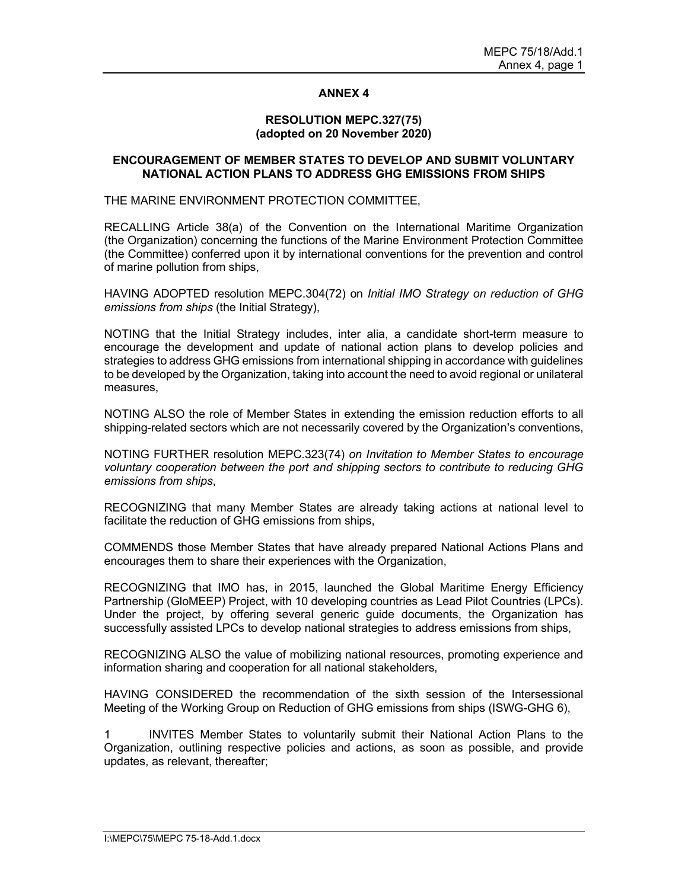## ANNEX 4

## RESOLUTION MEPC.327(75) (adopted on 20 November 2020)

## ENCOURAGEMENT OF MEMBER STATES TO DEVELOP AND SUBMIT VOLUNTARY NATIONAL ACTION PLANS TO ADDRESS GHG EMISSIONS FROM SHIPS

## THE MARINE ENVIRONMENT PROTECTION COMMITTEE,

RECALLING Article 38(a) of the Convention on the International Maritime Organization (the Organization) concerning the functions of the Marine Environment Protection Committee (the Committee) conferred upon it by international conventions for the prevention and control of marine pollution from ships,

HAVING ADOPTED resolution MEPC.304(72) on Initial IMO Strategy on reduction of GHG emissions from ships (the Initial Strategy),

NOTING that the Initial Strategy includes, inter alia, a candidate short-term measure to encourage the development and update of national action plans to develop policies and strategies to address GHG emissions from international shipping in accordance with guidelines to be developed by the Organization, taking into account the need to avoid regional or unilateral measures,

NOTING ALSO the role of Member States in extending the emission reduction efforts to all shipping-related sectors which are not necessarily covered by the Organization's conventions,

NOTING FURTHER resolution MEPC.323(74) on Invitation to Member States to encourage voluntary cooperation between the port and shipping sectors to contribute to reducing GHG emissions from ships,<br>RECOGNIZING that many Member States are already taking actions at national level to

facilitate the reduction of GHG emissions from ships,

COMMENDS those Member States that have already prepared National Actions Plans and encourages them to share their experiences with the Organization,

RECOGNIZING that IMO has, in 2015, launched the Global Maritime Energy Efficiency Partnership (GloMEEP) Project, with 10 developing countries as Lead Pilot Countries (LPCs). Under the project, by offering several generic guide documents, the Organization has successfully assisted LPCs to develop national strategies to address emissions from ships,

RECOGNIZING ALSO the value of mobilizing national resources, promoting experience and information sharing and cooperation for all national stakeholders,

HAVING CONSIDERED the recommendation of the sixth session of the Intersessional Meeting of the Working Group on Reduction of GHG emissions from ships (ISWG-GHG 6),

1 INVITES Member States to voluntarily submit their National Action Plans to the Organization, outlining respective policies and actions, as soon as possible, and provide updates, as relevant, thereafter;